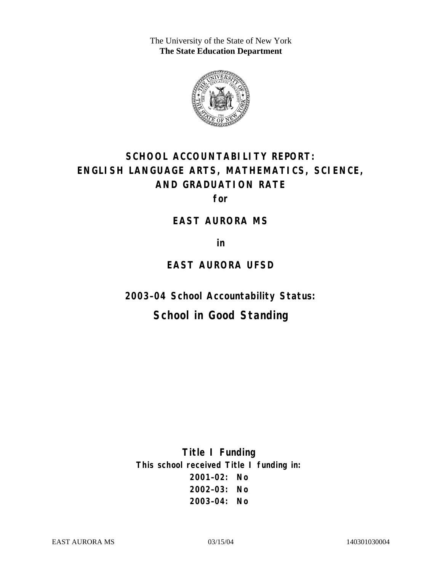The University of the State of New York **The State Education Department** 



# **SCHOOL ACCOUNTABILITY REPORT: ENGLISH LANGUAGE ARTS, MATHEMATICS, SCIENCE, AND GRADUATION RATE**

**for** 

### **EAST AURORA MS**

**in** 

### **EAST AURORA UFSD**

**2003–04 School Accountability Status:** 

## **School in Good Standing**

**Title I Funding This school received Title I funding in: 2001–02: No 2002–03: No 2003–04: No**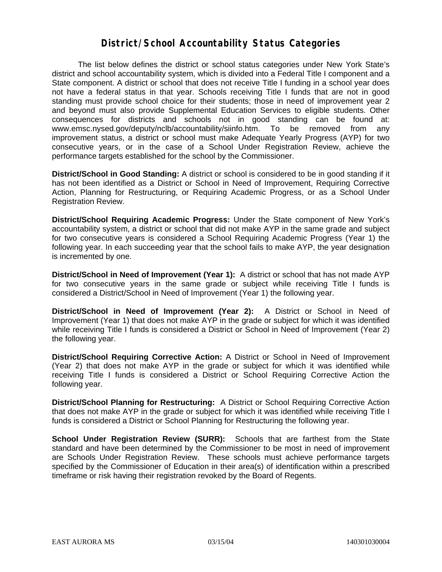### **District/School Accountability Status Categories**

The list below defines the district or school status categories under New York State's district and school accountability system, which is divided into a Federal Title I component and a State component. A district or school that does not receive Title I funding in a school year does not have a federal status in that year. Schools receiving Title I funds that are not in good standing must provide school choice for their students; those in need of improvement year 2 and beyond must also provide Supplemental Education Services to eligible students. Other consequences for districts and schools not in good standing can be found at: www.emsc.nysed.gov/deputy/nclb/accountability/siinfo.htm. To be removed from any improvement status, a district or school must make Adequate Yearly Progress (AYP) for two consecutive years, or in the case of a School Under Registration Review, achieve the performance targets established for the school by the Commissioner.

**District/School in Good Standing:** A district or school is considered to be in good standing if it has not been identified as a District or School in Need of Improvement, Requiring Corrective Action, Planning for Restructuring, or Requiring Academic Progress, or as a School Under Registration Review.

**District/School Requiring Academic Progress:** Under the State component of New York's accountability system, a district or school that did not make AYP in the same grade and subject for two consecutive years is considered a School Requiring Academic Progress (Year 1) the following year. In each succeeding year that the school fails to make AYP, the year designation is incremented by one.

**District/School in Need of Improvement (Year 1):** A district or school that has not made AYP for two consecutive years in the same grade or subject while receiving Title I funds is considered a District/School in Need of Improvement (Year 1) the following year.

**District/School in Need of Improvement (Year 2):** A District or School in Need of Improvement (Year 1) that does not make AYP in the grade or subject for which it was identified while receiving Title I funds is considered a District or School in Need of Improvement (Year 2) the following year.

**District/School Requiring Corrective Action:** A District or School in Need of Improvement (Year 2) that does not make AYP in the grade or subject for which it was identified while receiving Title I funds is considered a District or School Requiring Corrective Action the following year.

**District/School Planning for Restructuring:** A District or School Requiring Corrective Action that does not make AYP in the grade or subject for which it was identified while receiving Title I funds is considered a District or School Planning for Restructuring the following year.

**School Under Registration Review (SURR):** Schools that are farthest from the State standard and have been determined by the Commissioner to be most in need of improvement are Schools Under Registration Review. These schools must achieve performance targets specified by the Commissioner of Education in their area(s) of identification within a prescribed timeframe or risk having their registration revoked by the Board of Regents.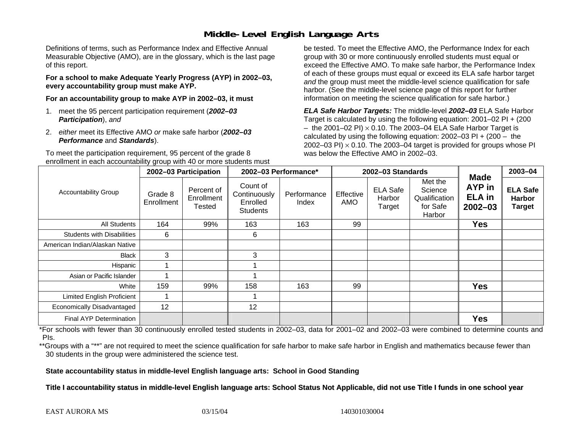## **Middle-Level English Language Arts**

Definitions of terms, such as Performance Index and Effective Annual Measurable Objective (AMO), are in the glossary, which is the last page of this report.

**For a school to make Adequate Yearly Progress (AYP) in 2002–03, every accountability group must make AYP.** 

**For an accountability group to make AYP in 2002–03, it must** 

- 1. meet the 95 percent participation requirement (*2002–03 Participation*), *and*
- 2. *either* meet its Effective AMO *or* make safe harbor (*2002–03 Performance* and *Standards*).

To meet the participation requirement, 95 percent of the grade 8 enrollment in each accountability group with 40 or more students must

be tested. To meet the Effective AMO, the Performance Index for each group with 30 or more continuously enrolled students must equal or exceed the Effective AMO. To make safe harbor, the Performance Index of each of these groups must equal or exceed its ELA safe harbor target *and* the group must meet the middle-level science qualification for safe harbor. (See the middle-level science page of this report for further information on meeting the science qualification for safe harbor.)

*ELA Safe Harbor Targets:* The middle-level *2002–03* ELA Safe Harbor Target is calculated by using the following equation: 2001–02 PI + (200  $-$  the 2001–02 PI)  $\times$  0.10. The 2003–04 ELA Safe Harbor Target is  $\,$ calculated by using the following equation:  $2002-03$  PI +  $(200 -$  the 2002–03 PI)  $\times$  0.10. The 2003–04 target is provided for groups whose PI was below the Effective AMO in 2002–03.

| <b>Accountability Group</b>       | 2002-03 Participation |                                           | 2002-03 Performance*                                    |                      | 2002-03 Standards       |                                     |                                                           |                                                              | $2003 - 04$                                       |
|-----------------------------------|-----------------------|-------------------------------------------|---------------------------------------------------------|----------------------|-------------------------|-------------------------------------|-----------------------------------------------------------|--------------------------------------------------------------|---------------------------------------------------|
|                                   | Grade 8<br>Enrollment | Percent of<br>Enrollment<br><b>Tested</b> | Count of<br>Continuously<br>Enrolled<br><b>Students</b> | Performance<br>Index | Effective<br><b>AMO</b> | <b>ELA Safe</b><br>Harbor<br>Target | Met the<br>Science<br>Qualification<br>for Safe<br>Harbor | <b>Made</b><br><b>AYP</b> in<br><b>ELA in</b><br>$2002 - 03$ | <b>ELA Safe</b><br><b>Harbor</b><br><b>Target</b> |
| All Students                      | 164                   | 99%                                       | 163                                                     | 163                  | 99                      |                                     |                                                           | <b>Yes</b>                                                   |                                                   |
| <b>Students with Disabilities</b> | 6                     |                                           | 6                                                       |                      |                         |                                     |                                                           |                                                              |                                                   |
| American Indian/Alaskan Native    |                       |                                           |                                                         |                      |                         |                                     |                                                           |                                                              |                                                   |
| <b>Black</b>                      | 3                     |                                           | 3                                                       |                      |                         |                                     |                                                           |                                                              |                                                   |
| Hispanic                          |                       |                                           |                                                         |                      |                         |                                     |                                                           |                                                              |                                                   |
| Asian or Pacific Islander         |                       |                                           |                                                         |                      |                         |                                     |                                                           |                                                              |                                                   |
| White                             | 159                   | 99%                                       | 158                                                     | 163                  | 99                      |                                     |                                                           | <b>Yes</b>                                                   |                                                   |
| <b>Limited English Proficient</b> |                       |                                           |                                                         |                      |                         |                                     |                                                           |                                                              |                                                   |
| Economically Disadvantaged        | 12                    |                                           | 12                                                      |                      |                         |                                     |                                                           |                                                              |                                                   |
| Final AYP Determination           |                       |                                           |                                                         |                      |                         |                                     |                                                           | <b>Yes</b>                                                   |                                                   |

\*For schools with fewer than 30 continuously enrolled tested students in 2002–03, data for 2001–02 and 2002–03 were combined to determine counts and PIs.

\*\*Groups with a "\*\*" are not required to meet the science qualification for safe harbor to make safe harbor in English and mathematics because fewer than 30 students in the group were administered the science test.

**State accountability status in middle-level English language arts: School in Good Standing** 

Title I accountability status in middle-level English language arts: School Status Not Applicable, did not use Title I funds in one school year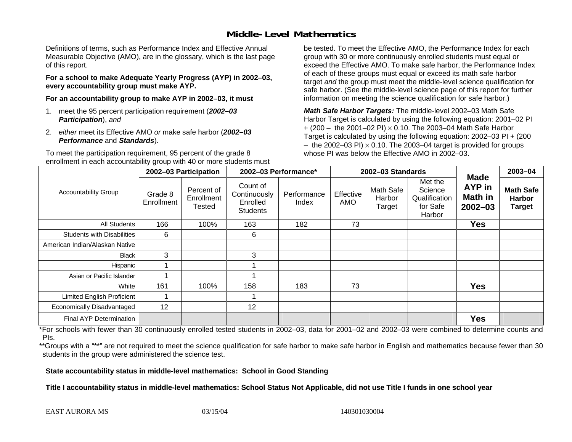## **Middle-Level Mathematics**

Definitions of terms, such as Performance Index and Effective Annual Measurable Objective (AMO), are in the glossary, which is the last page of this report.

**For a school to make Adequate Yearly Progress (AYP) in 2002–03, every accountability group must make AYP.** 

**For an accountability group to make AYP in 2002–03, it must** 

- 1. meet the 95 percent participation requirement (*2002–03 Participation*), *and*
- 2. *either* meet its Effective AMO *or* make safe harbor (*2002–03 Performance* and *Standards*).

To meet the participation requirement, 95 percent of the grade 8 enrollment in each accountability group with 40 or more students must be tested. To meet the Effective AMO, the Performance Index for each group with 30 or more continuously enrolled students must equal or exceed the Effective AMO. To make safe harbor, the Performance Index of each of these groups must equal or exceed its math safe harbor target *and* the group must meet the middle-level science qualification for safe harbor. (See the middle-level science page of this report for further information on meeting the science qualification for safe harbor.)

*Math Safe Harbor Targets:* The middle-level 2002–03 Math Safe Harbor Target is calculated by using the following equation: 2001–02 PI + (200 – the 2001–02 PI) × 0.10. The 2003–04 Math Safe Harbor Target is calculated by using the following equation: 2002–03 PI + (200  $-$  the 2002–03 PI)  $\times$  0.10. The 2003–04 target is provided for groups whose PI was below the Effective AMO in 2002–03

| <b>Accountability Group</b>       | 2002-03 Participation |                                           | 2002-03 Performance*                                    |                      | 2002-03 Standards |                               |                                                           |                                                        | $2003 - 04$                                        |
|-----------------------------------|-----------------------|-------------------------------------------|---------------------------------------------------------|----------------------|-------------------|-------------------------------|-----------------------------------------------------------|--------------------------------------------------------|----------------------------------------------------|
|                                   | Grade 8<br>Enrollment | Percent of<br>Enrollment<br><b>Tested</b> | Count of<br>Continuously<br>Enrolled<br><b>Students</b> | Performance<br>Index | Effective<br>AMO  | Math Safe<br>Harbor<br>Target | Met the<br>Science<br>Qualification<br>for Safe<br>Harbor | <b>Made</b><br><b>AYP</b> in<br>Math in<br>$2002 - 03$ | <b>Math Safe</b><br><b>Harbor</b><br><b>Target</b> |
| <b>All Students</b>               | 166                   | 100%                                      | 163                                                     | 182                  | 73                |                               |                                                           | <b>Yes</b>                                             |                                                    |
| <b>Students with Disabilities</b> | 6                     |                                           | 6                                                       |                      |                   |                               |                                                           |                                                        |                                                    |
| American Indian/Alaskan Native    |                       |                                           |                                                         |                      |                   |                               |                                                           |                                                        |                                                    |
| <b>Black</b>                      | 3                     |                                           | 3                                                       |                      |                   |                               |                                                           |                                                        |                                                    |
| Hispanic                          |                       |                                           |                                                         |                      |                   |                               |                                                           |                                                        |                                                    |
| Asian or Pacific Islander         |                       |                                           |                                                         |                      |                   |                               |                                                           |                                                        |                                                    |
| White                             | 161                   | 100%                                      | 158                                                     | 183                  | 73                |                               |                                                           | <b>Yes</b>                                             |                                                    |
| <b>Limited English Proficient</b> |                       |                                           |                                                         |                      |                   |                               |                                                           |                                                        |                                                    |
| Economically Disadvantaged        | 12                    |                                           | 12                                                      |                      |                   |                               |                                                           |                                                        |                                                    |
| Final AYP Determination           |                       |                                           |                                                         |                      |                   |                               |                                                           | <b>Yes</b>                                             |                                                    |

\*For schools with fewer than 30 continuously enrolled tested students in 2002–03, data for 2001–02 and 2002–03 were combined to determine counts and PIs.

\*\*Groups with a "\*\*" are not required to meet the science qualification for safe harbor to make safe harbor in English and mathematics because fewer than 30 students in the group were administered the science test.

**State accountability status in middle-level mathematics: School in Good Standing** 

Title I accountability status in middle-level mathematics: School Status Not Applicable, did not use Title I funds in one school year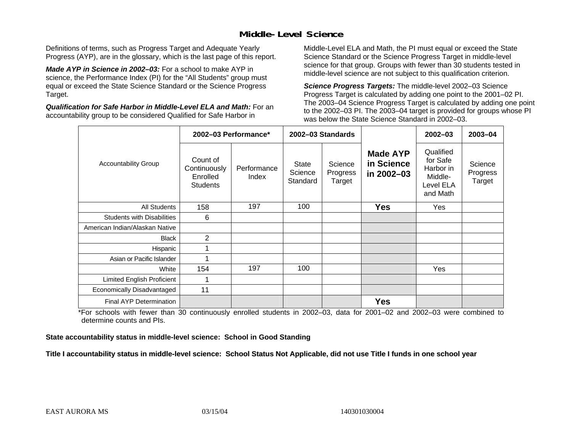## **Middle-Level Science**

Definitions of terms, such as Progress Target and Adequate Yearly Progress (AYP), are in the glossary, which is the last page of this report.

*Made AYP in Science in 2002–03:* For a school to make AYP in science, the Performance Index (PI) for the "All Students" group must equal or exceed the State Science Standard or the Science Progress Target.

*Qualification for Safe Harbor in Middle-Level ELA and Math:* For an accountability group to be considered Qualified for Safe Harbor in

Middle-Level ELA and Math, the PI must equal or exceed the State Science Standard or the Science Progress Target in middle-level science for that group. Groups with fewer than 30 students tested in middle-level science are not subject to this qualification criterion.

*Science Progress Targets:* The middle-level 2002–03 Science Progress Target is calculated by adding one point to the 2001–02 PI. The 2003–04 Science Progress Target is calculated by adding one point to the 2002–03 PI. The 2003–04 target is provided for groups whose PI was below the State Science Standard in 2002–03.

|                                   |                                                         | 2002-03 Performance* |                                     | 2002-03 Standards             |                                             | $2002 - 03$                                                            | $2003 - 04$                   |
|-----------------------------------|---------------------------------------------------------|----------------------|-------------------------------------|-------------------------------|---------------------------------------------|------------------------------------------------------------------------|-------------------------------|
| <b>Accountability Group</b>       | Count of<br>Continuously<br>Enrolled<br><b>Students</b> | Performance<br>Index | <b>State</b><br>Science<br>Standard | Science<br>Progress<br>Target | <b>Made AYP</b><br>in Science<br>in 2002-03 | Qualified<br>for Safe<br>Harbor in<br>Middle-<br>Level ELA<br>and Math | Science<br>Progress<br>Target |
| All Students                      | 158                                                     | 197                  | 100                                 |                               | <b>Yes</b>                                  | Yes                                                                    |                               |
| <b>Students with Disabilities</b> | 6                                                       |                      |                                     |                               |                                             |                                                                        |                               |
| American Indian/Alaskan Native    |                                                         |                      |                                     |                               |                                             |                                                                        |                               |
| <b>Black</b>                      | 2                                                       |                      |                                     |                               |                                             |                                                                        |                               |
| Hispanic                          | 1                                                       |                      |                                     |                               |                                             |                                                                        |                               |
| Asian or Pacific Islander         | 4                                                       |                      |                                     |                               |                                             |                                                                        |                               |
| White                             | 154                                                     | 197                  | 100                                 |                               |                                             | Yes                                                                    |                               |
| Limited English Proficient        | 1                                                       |                      |                                     |                               |                                             |                                                                        |                               |
| Economically Disadvantaged        | 11                                                      |                      |                                     |                               |                                             |                                                                        |                               |
| <b>Final AYP Determination</b>    |                                                         |                      |                                     |                               | <b>Yes</b>                                  |                                                                        |                               |

\*For schools with fewer than 30 continuously enrolled students in 2002–03, data for 2001–02 and 2002–03 were combined to determine counts and PIs.

**State accountability status in middle-level science: School in Good Standing** 

Title I accountability status in middle-level science: School Status Not Applicable, did not use Title I funds in one school year